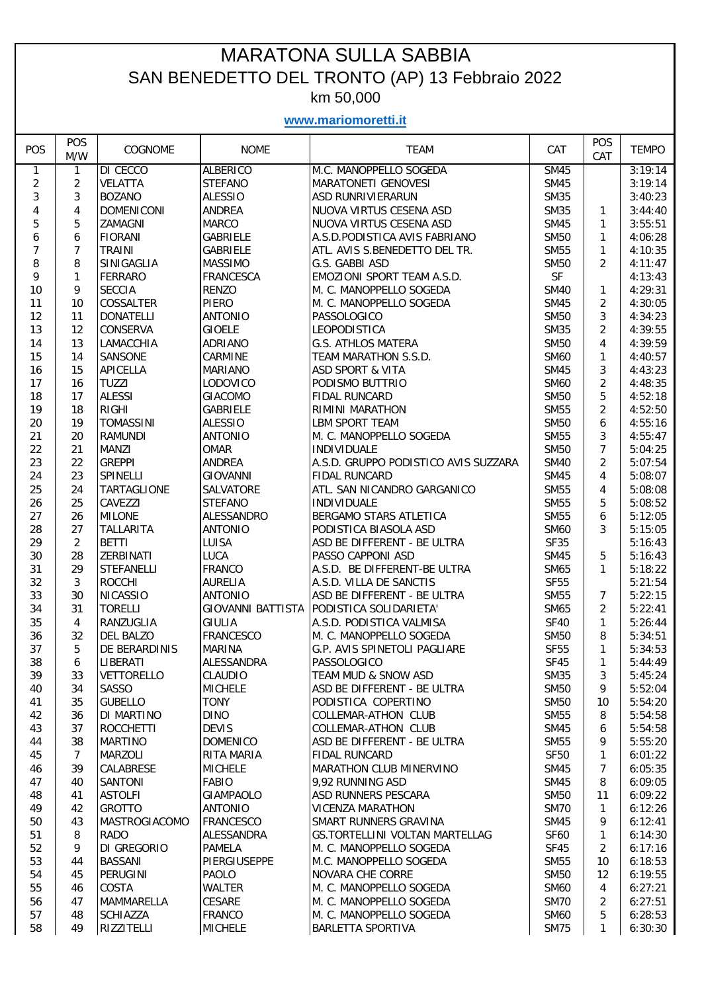## MARATONA SULLA SABBIA SAN BENEDETTO DEL TRONTO (AP) 13 Febbraio 2022 km 50,000

**www.mariomoretti.it**

| POS                     | POS<br>M/W     | COGNOME            | <b>NOME</b>              | <b>TEAM</b>                          | CAT         | POS<br>CAT     | <b>TEMPO</b> |
|-------------------------|----------------|--------------------|--------------------------|--------------------------------------|-------------|----------------|--------------|
| 1                       | $\mathbf{1}$   | <b>DI CECCO</b>    | <b>ALBERICO</b>          | M.C. MANOPPELLO SOGEDA               | <b>SM45</b> |                | 3:19:14      |
| $\overline{c}$          | $\overline{2}$ | <b>VELATTA</b>     | <b>STEFANO</b>           | MARATONETI GENOVESI                  | <b>SM45</b> |                | 3:19:14      |
| 3                       | 3              | <b>BOZANO</b>      | <b>ALESSIO</b>           | ASD RUNRIVIERARUN                    | <b>SM35</b> |                | 3:40:23      |
| $\overline{\mathbf{4}}$ | 4              | <b>DOMENICONI</b>  | <b>ANDREA</b>            | NUOVA VIRTUS CESENA ASD              | <b>SM35</b> | 1              | 3:44:40      |
| 5                       | 5              | ZAMAGNI            | <b>MARCO</b>             | NUOVA VIRTUS CESENA ASD              | <b>SM45</b> | 1              | 3:55:51      |
| 6                       | 6              | <b>FIORANI</b>     | <b>GABRIELE</b>          | A.S.D.PODISTICA AVIS FABRIANO        | <b>SM50</b> | $\mathbf{1}$   | 4:06:28      |
| $\overline{7}$          | 7              | <b>TRAINI</b>      | <b>GABRIELE</b>          | ATL. AVIS S.BENEDETTO DEL TR.        | <b>SM55</b> | $\mathbf{1}$   | 4:10:35      |
| 8                       | 8              | SINIGAGLIA         | <b>MASSIMO</b>           | G.S. GABBI ASD                       | <b>SM50</b> | $\overline{2}$ | 4:11:47      |
| 9                       | $\mathbf{1}$   | <b>FERRARO</b>     | <b>FRANCESCA</b>         | EMOZIONI SPORT TEAM A.S.D.           | SF          |                | 4:13:43      |
| 10                      | 9              | <b>SECCIA</b>      | <b>RENZO</b>             | M. C. MANOPPELLO SOGEDA              | <b>SM40</b> | $\mathbf{1}$   | 4:29:31      |
| 11                      | 10             | <b>COSSALTER</b>   | <b>PIERO</b>             | M. C. MANOPPELLO SOGEDA              | <b>SM45</b> | $\overline{2}$ | 4:30:05      |
| 12                      | 11             | <b>DONATELLI</b>   | <b>ANTONIO</b>           | PASSOLOGICO                          | <b>SM50</b> | 3              | 4:34:23      |
| 13                      | 12             | CONSERVA           | <b>GIOELE</b>            | LEOPODISTICA                         | <b>SM35</b> | $\overline{2}$ | 4:39:55      |
| 14                      | 13             | LAMACCHIA          | ADRIANO                  | <b>G.S. ATHLOS MATERA</b>            | <b>SM50</b> | 4              | 4:39:59      |
| 15                      | 14             | SANSONE            | CARMINE                  | TEAM MARATHON S.S.D.                 | <b>SM60</b> | $\mathbf{1}$   | 4:40:57      |
| 16                      | 15             | APICELLA           | <b>MARIANO</b>           | <b>ASD SPORT &amp; VITA</b>          | <b>SM45</b> | 3              | 4:43:23      |
| 17                      | 16             | <b>TUZZI</b>       | LODOVICO                 | PODISMO BUTTRIO                      | <b>SM60</b> | $\overline{2}$ | 4:48:35      |
| 18                      | 17             | <b>ALESSI</b>      | <b>GIACOMO</b>           | <b>FIDAL RUNCARD</b>                 | <b>SM50</b> | 5              | 4:52:18      |
| 19                      | 18             | <b>RIGHI</b>       | <b>GABRIELE</b>          | RIMINI MARATHON                      | <b>SM55</b> | $\overline{2}$ | 4:52:50      |
| 20                      | 19             | <b>TOMASSINI</b>   | <b>ALESSIO</b>           | <b>LBM SPORT TEAM</b>                | <b>SM50</b> | 6              | 4:55:16      |
| 21                      | 20             | <b>RAMUNDI</b>     | <b>ANTONIO</b>           | M. C. MANOPPELLO SOGEDA              | <b>SM55</b> | 3              | 4:55:47      |
| 22                      | 21             | <b>MANZI</b>       | <b>OMAR</b>              | INDIVIDUALE                          | <b>SM50</b> | $\overline{7}$ | 5:04:25      |
| 23                      | 22             | <b>GREPPI</b>      | <b>ANDREA</b>            | A.S.D. GRUPPO PODISTICO AVIS SUZZARA | <b>SM40</b> | $\overline{2}$ | 5:07:54      |
| 24                      | 23             | SPINELLI           | GIOVANNI                 | <b>FIDAL RUNCARD</b>                 | <b>SM45</b> | $\overline{4}$ | 5:08:07      |
| 25                      | 24             | <b>TARTAGLIONE</b> | SALVATORE                | ATL. SAN NICANDRO GARGANICO          | <b>SM55</b> | 4              | 5:08:08      |
| 26                      | 25             | CAVEZZI            | <b>STEFANO</b>           | INDIVIDUALE                          | <b>SM55</b> | 5              | 5:08:52      |
| 27                      | 26             | <b>MILONE</b>      | ALESSANDRO               | BERGAMO STARS ATLETICA               | <b>SM55</b> | 6              | 5:12:05      |
| 28                      | 27             | <b>TALLARITA</b>   | <b>ANTONIO</b>           | PODISTICA BIASOLA ASD                | <b>SM60</b> | 3              | 5:15:05      |
| 29                      | $\overline{2}$ | <b>BETTI</b>       | LUISA                    | ASD BE DIFFERENT - BE ULTRA          | <b>SF35</b> |                | 5:16:43      |
| 30                      | 28             | ZERBINATI          | LUCA                     | PASSO CAPPONI ASD                    | <b>SM45</b> | 5              | 5:16:43      |
| 31                      | 29             | <b>STEFANELLI</b>  | <b>FRANCO</b>            | A.S.D. BE DIFFERENT-BE ULTRA         | <b>SM65</b> | $\mathbf{1}$   | 5:18:22      |
| 32                      | 3              | <b>ROCCHI</b>      | <b>AURELIA</b>           | A.S.D. VILLA DE SANCTIS              | <b>SF55</b> |                | 5:21:54      |
| 33                      | 30             | <b>NICASSIO</b>    | <b>ANTONIO</b>           | ASD BE DIFFERENT - BE ULTRA          | <b>SM55</b> | 7              | 5:22:15      |
| 34                      | 31             | <b>TORELLI</b>     | <b>GIOVANNI BATTISTA</b> | PODISTICA SOLIDARIETA'               | <b>SM65</b> | 2              | 5:22:41      |
| 35                      | 4              | RANZUGLIA          | <b>GIULIA</b>            | A.S.D. PODISTICA VALMISA             | <b>SF40</b> | $\mathbf{1}$   | 5:26:44      |
| 36                      | 32             | <b>DEL BALZO</b>   | <b>FRANCESCO</b>         | M. C. MANOPPELLO SOGEDA              | <b>SM50</b> | 8              | 5:34:51      |
| 37                      | 5              | DE BERARDINIS      | <b>MARINA</b>            | G.P. AVIS SPINETOLI PAGLIARE         | <b>SF55</b> | $\mathbf{1}$   | 5:34:53      |
| 38                      | 6              | LIBERATI           | ALESSANDRA               | PASSOLOGICO                          | <b>SF45</b> | 1              | 5:44:49      |
| 39                      | 33             | <b>VETTORELLO</b>  | CLAUDIO                  | TEAM MUD & SNOW ASD                  | <b>SM35</b> | 3              | 5:45:24      |
| 40                      | 34             | <b>SASSO</b>       | <b>MICHELE</b>           | ASD BE DIFFERENT - BE ULTRA          | <b>SM50</b> | 9              | 5:52:04      |
| 41                      | 35             | <b>GUBELLO</b>     | <b>TONY</b>              | PODISTICA COPERTINO                  | <b>SM50</b> | 10             | 5:54:20      |
| 42                      | 36             | DI MARTINO         | <b>DINO</b>              | COLLEMAR-ATHON CLUB                  | <b>SM55</b> | 8              | 5:54:58      |
| 43                      | 37             | <b>ROCCHETTI</b>   | <b>DEVIS</b>             | COLLEMAR-ATHON CLUB                  | <b>SM45</b> | 6              | 5:54:58      |
| 44                      | 38             | <b>MARTINO</b>     | <b>DOMENICO</b>          | ASD BE DIFFERENT - BE ULTRA          | <b>SM55</b> | 9              | 5:55:20      |
| 45                      | $\overline{7}$ | <b>MARZOLI</b>     | RITA MARIA               | FIDAL RUNCARD                        | <b>SF50</b> | 1              | 6:01:22      |
| 46                      | 39             | CALABRESE          | <b>MICHELE</b>           | MARATHON CLUB MINERVINO              | <b>SM45</b> | 7              | 6:05:35      |
| 47                      | 40             | SANTONI            | FABIO                    | 9,92 RUNNING ASD                     | <b>SM45</b> | 8              | 6:09:05      |
| 48                      | 41             | <b>ASTOLFI</b>     | <b>GIAMPAOLO</b>         | ASD RUNNERS PESCARA                  | <b>SM50</b> | 11             | 6:09:22      |
| 49                      | 42             | <b>GROTTO</b>      | <b>ANTONIO</b>           | <b>VICENZA MARATHON</b>              | <b>SM70</b> | $\mathbf{1}$   | 6:12:26      |
| 50                      | 43             | MASTROGIACOMO      | <b>FRANCESCO</b>         | SMART RUNNERS GRAVINA                | <b>SM45</b> | 9              | 6:12:41      |
| 51                      | 8              | <b>RADO</b>        | ALESSANDRA               | GS.TORTELLINI VOLTAN MARTELLAG       | <b>SF60</b> | 1              | 6:14:30      |
| 52                      | 9              | DI GREGORIO        | <b>PAMELA</b>            | M. C. MANOPPELLO SOGEDA              | SF45        | $\overline{2}$ | 6:17:16      |
| 53                      | 44             | <b>BASSANI</b>     | PIERGIUSEPPE             | M.C. MANOPPELLO SOGEDA               | <b>SM55</b> | 10             | 6:18:53      |
| 54                      | 45             | PERUGINI           | PAOLO                    | <b>NOVARA CHE CORRE</b>              | <b>SM50</b> | 12             | 6:19:55      |
| 55                      | 46             | COSTA              | <b>WALTER</b>            | M. C. MANOPPELLO SOGEDA              | <b>SM60</b> | 4              | 6:27:21      |
| 56                      | 47             | MAMMARELLA         | CESARE                   | M. C. MANOPPELLO SOGEDA              | <b>SM70</b> | 2              | 6:27:51      |
| 57                      | 48             | <b>SCHIAZZA</b>    | <b>FRANCO</b>            | M. C. MANOPPELLO SOGEDA              | <b>SM60</b> | 5              | 6:28:53      |
| 58                      | 49             | RIZZITELLI         | <b>MICHELE</b>           | BARLETTA SPORTIVA                    | <b>SM75</b> | 1              | 6:30:30      |